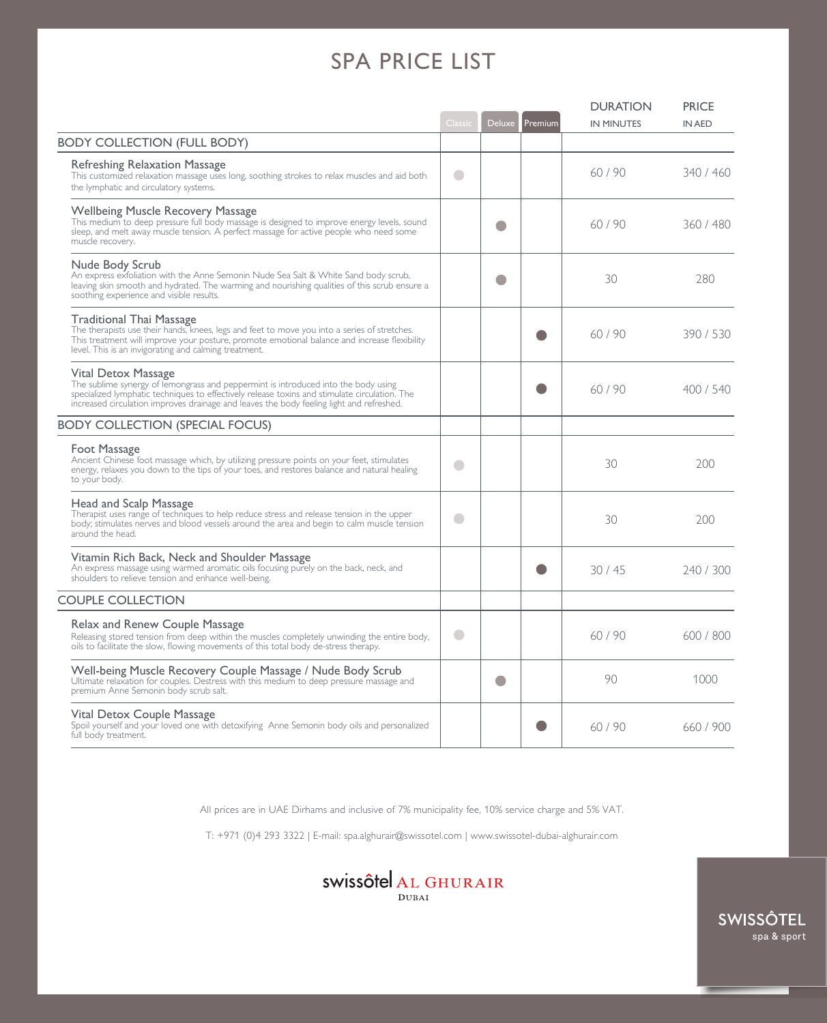## SPA PRICE LIST

|                                                                                                                                                                                                                                                                                                        | Classic       | <b>Deluxe</b> | Premium | <b>DURATION</b><br><b>IN MINUTES</b> | <b>PRICE</b><br><b>IN AED</b> |
|--------------------------------------------------------------------------------------------------------------------------------------------------------------------------------------------------------------------------------------------------------------------------------------------------------|---------------|---------------|---------|--------------------------------------|-------------------------------|
| <b>BODY COLLECTION (FULL BODY)</b>                                                                                                                                                                                                                                                                     |               |               |         |                                      |                               |
| Refreshing Relaxation Massage<br>This customized relaxation massage uses long, soothing strokes to relax muscles and aid both<br>the lymphatic and circulatory systems.                                                                                                                                | $\Box$        |               |         | 60/90                                | 340 / 460                     |
| Wellbeing Muscle Recovery Massage<br>This medium to deep pressure full body massage is designed to improve energy levels, sound<br>sleep, and melt away muscle tension. A perfect massage for active people who need some<br>muscle recovery.                                                          |               |               |         | 60/90                                | 360/480                       |
| Nude Body Scrub<br>An express exfoliation with the Anne Semonin Nude Sea Salt & White Sand body scrub,<br>leaving skin smooth and hydrated. The warming and nourishing qualities of this scrub ensure a<br>soothing experience and visible results.                                                    |               |               |         | 30                                   | 280                           |
| Traditional Thai Massage<br>The therapists use their hands, knees, legs and feet to move you into a series of stretches.<br>This treatment will improve your posture, promote emotional balance and increase flexibility<br>level. This is an invigorating and calming treatment.                      |               |               |         | 60/90                                | 390/530                       |
| Vital Detox Massage<br>The sublime synergy of lemongrass and peppermint is introduced into the body using<br>specialized lymphatic techniques to effectively release toxins and stimulate circulation. The<br>increased circulation improves drainage and leaves the body feeling light and refreshed. |               |               |         | 60/90                                | 400 / 540                     |
| <b>BODY COLLECTION (SPECIAL FOCUS)</b>                                                                                                                                                                                                                                                                 |               |               |         |                                      |                               |
| Foot Massage<br>Ancient Chinese foot massage which, by utilizing pressure points on your feet, stimulates<br>energy, relaxes you down to the tips of your toes, and restores balance and natural healing<br>to your body.                                                                              | $\mathcal{L}$ |               |         | 30                                   | 200                           |
| Head and Scalp Massage<br>Therapist uses range of techniques to help reduce stress and release tension in the upper<br>body; stimulates nerves and blood vessels around the area and begin to calm muscle tension<br>around the head.                                                                  | ۰             |               |         | 30                                   | 200                           |
| Vitamin Rich Back, Neck and Shoulder Massage<br>An express massage using warmed aromatic oils focusing purely on the back, neck, and<br>shoulders to relieve tension and enhance well-being.                                                                                                           |               |               |         | 30/45                                | 240 / 300                     |
| <b>COUPLE COLLECTION</b>                                                                                                                                                                                                                                                                               |               |               |         |                                      |                               |
| Relax and Renew Couple Massage<br>Releasing stored tension from deep within the muscles completely unwinding the entire body,<br>oils to facilitate the slow, flowing movements of this total body de-stress therapy.                                                                                  | $\Box$        |               |         | 60/90                                | 600 / 800                     |
| Well-being Muscle Recovery Couple Massage / Nude Body Scrub<br>Ultimate relaxation for couples. Destress with this medium to deep pressure massage and<br>premium Anne Semonin body scrub salt.                                                                                                        |               | O             |         | 90                                   | 1000                          |
| Vital Detox Couple Massage<br>Spoil yourself and your loved one with detoxifying Anne Semonin body oils and personalized<br>full body treatment.                                                                                                                                                       |               |               |         | 60/90                                | 660/900                       |

All prices are in UAE Dirhams and inclusive of 7% municipality fee, 10% service charge and 5% VAT.

T: +971 (0)4 293 3322 | E-mail: spa.alghurair@swissotel.com | www.swissotel-dubai-alghurair.com



SWISSÔTEL spa & sport